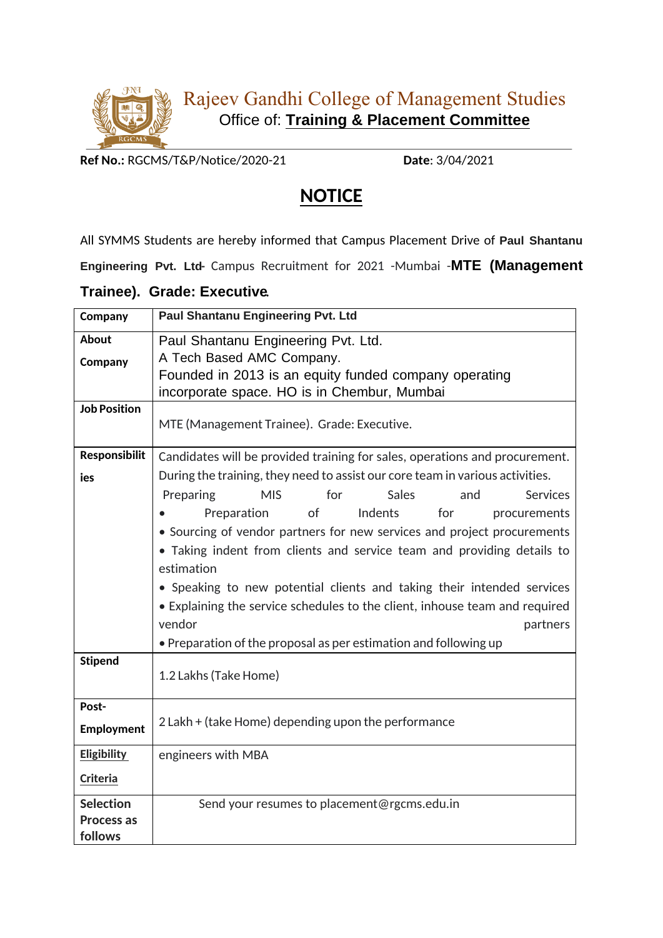

**Ref No.:** RGCMS/T&P/Notice/2020-21 **Date**: 3/04/2021

## **NOTICE**

All SYMMS Students are hereby informed that Campus Placement Drive of **Paul Shantanu Engineering Pvt. Ltd-** Campus Recruitment for 2021 -Mumbai -**MTE (Management**

## **Trainee). Grade: Executive.**

| Company                 | <b>Paul Shantanu Engineering Pvt. Ltd</b>                                     |
|-------------------------|-------------------------------------------------------------------------------|
| <b>About</b><br>Company | Paul Shantanu Engineering Pvt. Ltd.<br>A Tech Based AMC Company.              |
|                         | Founded in 2013 is an equity funded company operating                         |
|                         | incorporate space. HO is in Chembur, Mumbai                                   |
| <b>Job Position</b>     | MTE (Management Trainee). Grade: Executive.                                   |
| <b>Responsibilit</b>    | Candidates will be provided training for sales, operations and procurement.   |
| ies                     | During the training, they need to assist our core team in various activities. |
|                         | <b>Sales</b><br>Preparing<br><b>MIS</b><br>for<br><b>Services</b><br>and      |
|                         | of<br><b>Indents</b><br>Preparation<br>for<br>procurements                    |
|                         | • Sourcing of vendor partners for new services and project procurements       |
|                         | • Taking indent from clients and service team and providing details to        |
|                         | estimation                                                                    |
|                         | • Speaking to new potential clients and taking their intended services        |
|                         | • Explaining the service schedules to the client, inhouse team and required   |
|                         | vendor<br>partners                                                            |
|                         | • Preparation of the proposal as per estimation and following up              |
| <b>Stipend</b>          | 1.2 Lakhs (Take Home)                                                         |
|                         |                                                                               |
| Post-                   |                                                                               |
| Employment              | 2 Lakh + (take Home) depending upon the performance                           |
| <b>Eligibility</b>      | engineers with MBA                                                            |
| Criteria                |                                                                               |
| <b>Selection</b>        | Send your resumes to placement@rgcms.edu.in                                   |
| Process as              |                                                                               |
| follows                 |                                                                               |